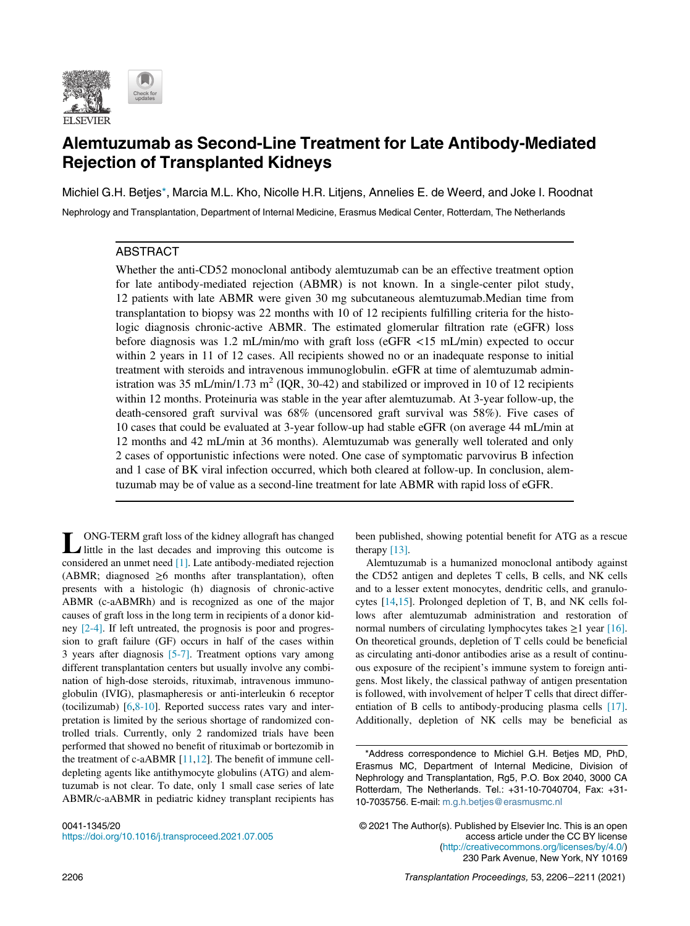

# Alemtuzumab as Second-Line Treatment for Late Antibody-Mediated Rejection of Transplanted Kidneys

Michiel G.H. Betje[s\\*,](#page-0-0) Marcia M.L. Kho, Nicolle H.R. Litjens, Annelies E. de Weerd, and Joke I. Roodnat Nephrology and Transplantation, Department of Internal Medicine, Erasmus Medical Center, Rotterdam, The Netherlands

# ABSTRACT

Whether the anti-CD52 monoclonal antibody alemtuzumab can be an effective treatment option for late antibody-mediated rejection (ABMR) is not known. In a single-center pilot study, 12 patients with late ABMR were given 30 mg subcutaneous alemtuzumab.Median time from transplantation to biopsy was 22 months with 10 of 12 recipients fulfilling criteria for the histologic diagnosis chronic-active ABMR. The estimated glomerular filtration rate (eGFR) loss before diagnosis was 1.2 mL/min/mo with graft loss (eGFR <15 mL/min) expected to occur within 2 years in 11 of 12 cases. All recipients showed no or an inadequate response to initial treatment with steroids and intravenous immunoglobulin. eGFR at time of alemtuzumab administration was 35 mL/min/1.73 m<sup>2</sup> (IQR, 30-42) and stabilized or improved in 10 of 12 recipients within 12 months. Proteinuria was stable in the year after alemtuzumab. At 3-year follow-up, the death-censored graft survival was 68% (uncensored graft survival was 58%). Five cases of 10 cases that could be evaluated at 3-year follow-up had stable eGFR (on average 44 mL/min at 12 months and 42 mL/min at 36 months). Alemtuzumab was generally well tolerated and only 2 cases of opportunistic infections were noted. One case of symptomatic parvovirus B infection and 1 case of BK viral infection occurred, which both cleared at follow-up. In conclusion, alemtuzumab may be of value as a second-line treatment for late ABMR with rapid loss of eGFR.

<span id="page-0-0"></span>LONG-TERM graft loss of the kidney allograft has changed little in the last decades and improving this outcome is considered an unmet need [\[1\].](#page-5-0) Late antibody-mediated rejection (ABMR; diagnosed  $\geq 6$  months after transplantation), often presents with a histologic (h) diagnosis of chronic-active ABMR (c-aABMRh) and is recognized as one of the major causes of graft loss in the long term in recipients of a donor kidney [\[2-4\].](#page-5-1) If left untreated, the prognosis is poor and progression to graft failure (GF) occurs in half of the cases within 3 years after diagnosis [\[5-7\]](#page-5-2). Treatment options vary among different transplantation centers but usually involve any combination of high-dose steroids, rituximab, intravenous immunoglobulin (IVIG), plasmapheresis or anti-interleukin 6 receptor (tocilizumab) [[6](#page-5-3),[8-10](#page-5-4)]. Reported success rates vary and interpretation is limited by the serious shortage of randomized controlled trials. Currently, only 2 randomized trials have been performed that showed no benefit of rituximab or bortezomib in the treatment of c-aABMR [\[11](#page-5-5),[12\]](#page-5-6). The benefit of immune celldepleting agents like antithymocyte globulins (ATG) and alemtuzumab is not clear. To date, only 1 small case series of late ABMR/c-aABMR in pediatric kidney transplant recipients has

been published, showing potential benefit for ATG as a rescue therapy [\[13\]](#page-5-7).

Alemtuzumab is a humanized monoclonal antibody against the CD52 antigen and depletes T cells, B cells, and NK cells and to a lesser extent monocytes, dendritic cells, and granulocytes [\[14](#page-5-8),[15\]](#page-5-9). Prolonged depletion of T, B, and NK cells follows after alemtuzumab administration and restoration of normal numbers of circulating lymphocytes takes  $\geq 1$  year [\[16\].](#page-5-10) On theoretical grounds, depletion of T cells could be beneficial as circulating anti-donor antibodies arise as a result of continuous exposure of the recipient's immune system to foreign antigens. Most likely, the classical pathway of antigen presentation is followed, with involvement of helper T cells that direct differentiation of B cells to antibody-producing plasma cells [\[17\].](#page-5-11) Additionally, depletion of NK cells may be beneficial as

<sup>\*</sup>Address correspondence to Michiel G.H. Betjes MD, PhD, Erasmus MC, Department of Internal Medicine, Division of Nephrology and Transplantation, Rg5, P.O. Box 2040, 3000 CA Rotterdam, The Netherlands. Tel.: +31-10-7040704, Fax: +31- 10-7035756. E-mail: [m.g.h.betjes@erasmusmc.nl](mailto:m.g.h.betjes@erasmusmc.nl)

<sup>© 2021</sup> The Author(s). Published by Elsevier Inc. This is an open access article under the CC BY license ([http://creativecommons.org/licenses/by/4.0/\)](http://creativecommons.org/licenses/by/4.0/) 230 Park Avenue, New York, NY 10169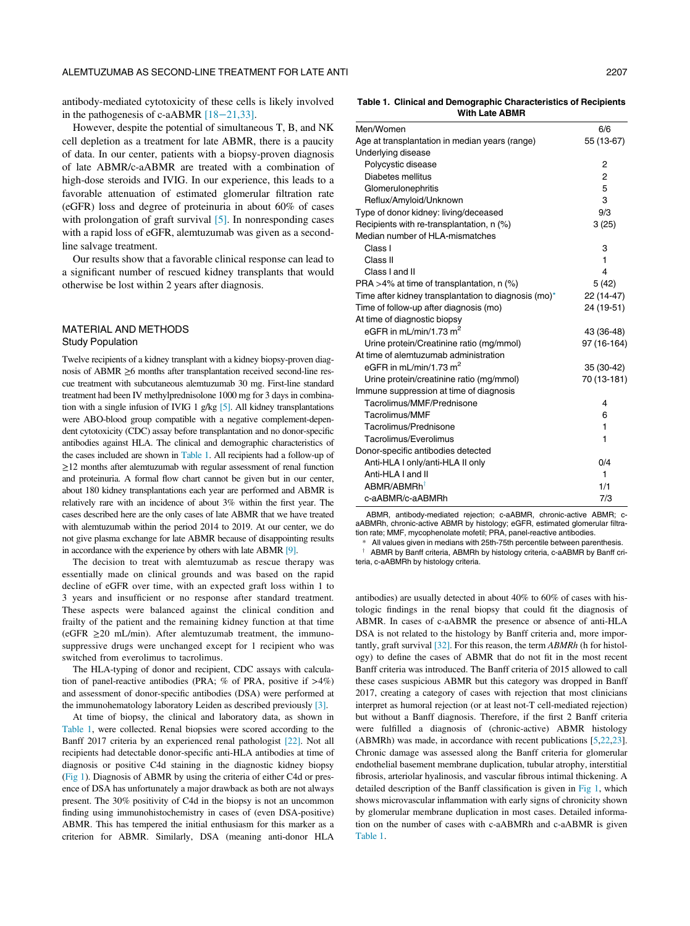<span id="page-1-0"></span>antibody-mediated cytotoxicity of these cells is likely involved in the pathogenesis of c-aABMR [18−[21,33\]](#page-5-12).

However, despite the potential of simultaneous T, B, and NK cell depletion as a treatment for late ABMR, there is a paucity of data. In our center, patients with a biopsy-proven diagnosis of late ABMR/c-aABMR are treated with a combination of high-dose steroids and IVIG. In our experience, this leads to a favorable attenuation of estimated glomerular filtration rate (eGFR) loss and degree of proteinuria in about 60% of cases with prolongation of graft survival [\[5\].](#page-5-2) In nonresponding cases with a rapid loss of eGFR, alemtuzumab was given as a secondline salvage treatment.

Our results show that a favorable clinical response can lead to a significant number of rescued kidney transplants that would otherwise be lost within 2 years after diagnosis.

#### MATERIAL AND METHODS Study Population

Twelve recipients of a kidney transplant with a kidney biopsy-proven diagnosis of ABMR ≥6 months after transplantation received second-line rescue treatment with subcutaneous alemtuzumab 30 mg. First-line standard treatment had been IV methylprednisolone 1000 mg for 3 days in combination with a single infusion of IVIG 1 g/kg [\[5\]](#page-5-2). All kidney transplantations were ABO-blood group compatible with a negative complement-dependent cytotoxicity (CDC) assay before transplantation and no donor-specific antibodies against HLA. The clinical and demographic characteristics of the cases included are shown in [Table 1.](#page-1-0) All recipients had a follow-up of ≥12 months after alemtuzumab with regular assessment of renal function and proteinuria. A formal flow chart cannot be given but in our center, about 180 kidney transplantations each year are performed and ABMR is relatively rare with an incidence of about 3% within the first year. The cases described here are the only cases of late ABMR that we have treated with alemtuzumab within the period 2014 to 2019. At our center, we do not give plasma exchange for late ABMR because of disappointing results in accordance with the experience by others with late ABMR [\[9\]](#page-5-13).

<span id="page-1-1"></span>The decision to treat with alemtuzumab as rescue therapy was essentially made on clinical grounds and was based on the rapid decline of eGFR over time, with an expected graft loss within 1 to 3 years and insufficient or no response after standard treatment. These aspects were balanced against the clinical condition and frailty of the patient and the remaining kidney function at that time  $(eGFR > 20 \text{ mL/min})$ . After alemtuzumab treatment, the immunosuppressive drugs were unchanged except for 1 recipient who was switched from everolimus to tacrolimus.

The HLA-typing of donor and recipient, CDC assays with calculation of panel-reactive antibodies (PRA; % of PRA, positive if  $>4\%$ ) and assessment of donor-specific antibodies (DSA) were performed at the immunohematology laboratory Leiden as described previously [\[3\]](#page-5-14).

At time of biopsy, the clinical and laboratory data, as shown in [Table 1,](#page-1-0) were collected. Renal biopsies were scored according to the Banff 2017 criteria by an experienced renal pathologist [\[22\].](#page-5-15) Not all recipients had detectable donor-specific anti-HLA antibodies at time of diagnosis or positive C4d staining in the diagnostic kidney biopsy [\(Fig 1](#page-2-0)). Diagnosis of ABMR by using the criteria of either C4d or presence of DSA has unfortunately a major drawback as both are not always present. The 30% positivity of C4d in the biopsy is not an uncommon finding using immunohistochemistry in cases of (even DSA-positive) ABMR. This has tempered the initial enthusiasm for this marker as a criterion for ABMR. Similarly, DSA (meaning anti-donor HLA

Table 1. Clinical and Demographic Characteristics of Recipients With Late ABMR

| Men/Women                                            | 6/6            |
|------------------------------------------------------|----------------|
| Age at transplantation in median years (range)       | 55 (13-67)     |
| Underlying disease                                   |                |
| Polycystic disease                                   | 2              |
| Diabetes mellitus                                    | 2              |
| Glomerulonephritis                                   | 5              |
| Reflux/Amyloid/Unknown                               | 3              |
| Type of donor kidney: living/deceased                | 9/3            |
| Recipients with re-transplantation, n (%)            | 3(25)          |
| Median number of HLA-mismatches                      |                |
| Class I                                              | 3              |
| Class II                                             | 1              |
| Class I and II                                       | $\overline{4}$ |
| PRA >4% at time of transplantation, $n$ (%)          | 5(42)          |
| Time after kidney transplantation to diagnosis (mo)* | 22 (14-47)     |
| Time of follow-up after diagnosis (mo)               | 24 (19-51)     |
| At time of diagnostic biopsy                         |                |
| eGFR in mL/min/1.73 m <sup>2</sup>                   | 43 (36-48)     |
| Urine protein/Creatinine ratio (mg/mmol)             | 97 (16-164)    |
| At time of alemtuzumab administration                |                |
| eGFR in mL/min/1.73 $m2$                             | 35 (30-42)     |
| Urine protein/creatinine ratio (mg/mmol)             | 70 (13-181)    |
| Immune suppression at time of diagnosis              |                |
| Tacrolimus/MMF/Prednisone                            | 4              |
| Tacrolimus/MMF                                       | 6              |
| Tacrolimus/Prednisone                                | 1              |
| Tacrolimus/Everolimus                                | 1              |
| Donor-specific antibodies detected                   |                |
| Anti-HLA I only/anti-HLA II only                     | 0/4            |
| Anti-HLA I and II                                    | 1              |
| ABMR/ABMRh <sup>†</sup>                              | 1/1            |
| c-aABMR/c-aABMRh                                     | 7/3            |

ABMR, antibody-mediated rejection; c-aABMR, chronic-active ABMR; caABMRh, chronic-active ABMR by histology; eGFR, estimated glomerular filtration rate; MMF, mycophenolate mofetil; PRA, panel-reactive antibodies.

All values given in medians with 25th-75th percentile between parenthesis.

ABMR by Banff criteria, ABMRh by histology criteria, c-aABMR by Banff criteria, c-aABMRh by histology criteria.

antibodies) are usually detected in about 40% to 60% of cases with histologic findings in the renal biopsy that could fit the diagnosis of ABMR. In cases of c-aABMR the presence or absence of anti-HLA DSA is not related to the histology by Banff criteria and, more importantly, graft survival [\[32\].](#page-5-16) For this reason, the term ABMRh (h for histology) to define the cases of ABMR that do not fit in the most recent Banff criteria was introduced. The Banff criteria of 2015 allowed to call these cases suspicious ABMR but this category was dropped in Banff 2017, creating a category of cases with rejection that most clinicians interpret as humoral rejection (or at least not-T cell-mediated rejection) but without a Banff diagnosis. Therefore, if the first 2 Banff criteria were fulfilled a diagnosis of (chronic-active) ABMR histology (ABMRh) was made, in accordance with recent publications [[5,](#page-5-2)[22,](#page-5-15)[23\]](#page-5-17). Chronic damage was assessed along the Banff criteria for glomerular endothelial basement membrane duplication, tubular atrophy, interstitial fibrosis, arteriolar hyalinosis, and vascular fibrous intimal thickening. A detailed description of the Banff classification is given in [Fig 1](#page-2-0), which shows microvascular inflammation with early signs of chronicity shown by glomerular membrane duplication in most cases. Detailed information on the number of cases with c-aABMRh and c-aABMR is given [Table 1.](#page-1-0)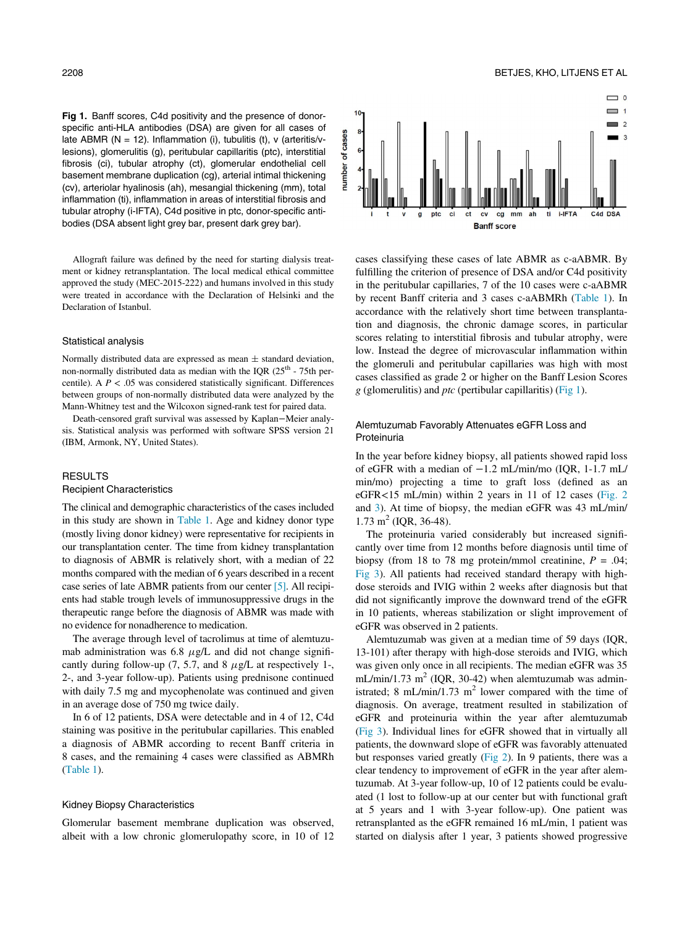<span id="page-2-0"></span>Fig 1. Banff scores, C4d positivity and the presence of donorspecific anti-HLA antibodies (DSA) are given for all cases of late ABMR ( $N = 12$ ). Inflammation (i), tubulitis (t), v (arteritis/ $v$ lesions), glomerulitis (g), peritubular capillaritis (ptc), interstitial fibrosis (ci), tubular atrophy (ct), glomerular endothelial cell basement membrane duplication (cg), arterial intimal thickening (cv), arteriolar hyalinosis (ah), mesangial thickening (mm), total inflammation (ti), inflammation in areas of interstitial fibrosis and tubular atrophy (i-IFTA), C4d positive in ptc, donor-specific antibodies (DSA absent light grey bar, present dark grey bar).

Allograft failure was defined by the need for starting dialysis treatment or kidney retransplantation. The local medical ethical committee approved the study (MEC-2015-222) and humans involved in this study were treated in accordance with the Declaration of Helsinki and the Declaration of Istanbul.

## Statistical analysis

Normally distributed data are expressed as mean  $\pm$  standard deviation, non-normally distributed data as median with the IQR  $(25<sup>th</sup> - 75th$  percentile). A  $P < .05$  was considered statistically significant. Differences between groups of non-normally distributed data were analyzed by the Mann-Whitney test and the Wilcoxon signed-rank test for paired data.

Death-censored graft survival was assessed by Kaplan−Meier analysis. Statistical analysis was performed with software SPSS version 21 (IBM, Armonk, NY, United States).

#### RESULTS

# Recipient Characteristics

The clinical and demographic characteristics of the cases included in this study are shown in [Table 1](#page-1-0). Age and kidney donor type (mostly living donor kidney) were representative for recipients in our transplantation center. The time from kidney transplantation to diagnosis of ABMR is relatively short, with a median of 22 months compared with the median of 6 years described in a recent case series of late ABMR patients from our center [\[5\].](#page-5-2) All recipients had stable trough levels of immunosuppressive drugs in the therapeutic range before the diagnosis of ABMR was made with no evidence for nonadherence to medication.

The average through level of tacrolimus at time of alemtuzumab administration was 6.8  $\mu$ g/L and did not change significantly during follow-up (7, 5.7, and 8  $\mu$ g/L at respectively 1-, 2-, and 3-year follow-up). Patients using prednisone continued with daily 7.5 mg and mycophenolate was continued and given in an average dose of 750 mg twice daily.

In 6 of 12 patients, DSA were detectable and in 4 of 12, C4d staining was positive in the peritubular capillaries. This enabled a diagnosis of ABMR according to recent Banff criteria in 8 cases, and the remaining 4 cases were classified as ABMRh ([Table 1\)](#page-1-0).

#### Kidney Biopsy Characteristics

Glomerular basement membrane duplication was observed, albeit with a low chronic glomerulopathy score, in 10 of 12



cases classifying these cases of late ABMR as c-aABMR. By fulfilling the criterion of presence of DSA and/or C4d positivity in the peritubular capillaries, 7 of the 10 cases were c-aABMR by recent Banff criteria and 3 cases c-aABMRh [\(Table 1](#page-1-0)). In accordance with the relatively short time between transplantation and diagnosis, the chronic damage scores, in particular scores relating to interstitial fibrosis and tubular atrophy, were low. Instead the degree of microvascular inflammation within the glomeruli and peritubular capillaries was high with most cases classified as grade 2 or higher on the Banff Lesion Scores  $g$  (glomerulitis) and  $ptc$  (pertibular capillaritis) ([Fig 1](#page-2-0)).

# Alemtuzumab Favorably Attenuates eGFR Loss and **Proteinuria**

In the year before kidney biopsy, all patients showed rapid loss of eGFR with a median of −1.2 mL/min/mo (IQR, 1-1.7 mL/ min/mo) projecting a time to graft loss (defined as an eGFR<15 mL/min) within 2 years in 11 of 12 cases ([Fig. 2](#page-3-0) and [3](#page-4-0)). At time of biopsy, the median eGFR was 43 mL/min/  $1.73 \text{ m}^2$  (IQR, 36-48).

The proteinuria varied considerably but increased significantly over time from 12 months before diagnosis until time of biopsy (from 18 to 78 mg protein/mmol creatinine,  $P = .04$ ; [Fig 3\)](#page-4-0). All patients had received standard therapy with highdose steroids and IVIG within 2 weeks after diagnosis but that did not significantly improve the downward trend of the eGFR in 10 patients, whereas stabilization or slight improvement of eGFR was observed in 2 patients.

Alemtuzumab was given at a median time of 59 days (IQR, 13-101) after therapy with high-dose steroids and IVIG, which was given only once in all recipients. The median eGFR was 35 mL/min/1.73 m<sup>2</sup> (IQR, 30-42) when alemtuzumab was administrated; 8 mL/min/1.73 m<sup>2</sup> lower compared with the time of diagnosis. On average, treatment resulted in stabilization of eGFR and proteinuria within the year after alemtuzumab ([Fig 3](#page-4-0)). Individual lines for eGFR showed that in virtually all patients, the downward slope of eGFR was favorably attenuated but responses varied greatly ([Fig 2\)](#page-3-0). In 9 patients, there was a clear tendency to improvement of eGFR in the year after alemtuzumab. At 3-year follow-up, 10 of 12 patients could be evaluated (1 lost to follow-up at our center but with functional graft at 5 years and 1 with 3-year follow-up). One patient was retransplanted as the eGFR remained 16 mL/min, 1 patient was started on dialysis after 1 year, 3 patients showed progressive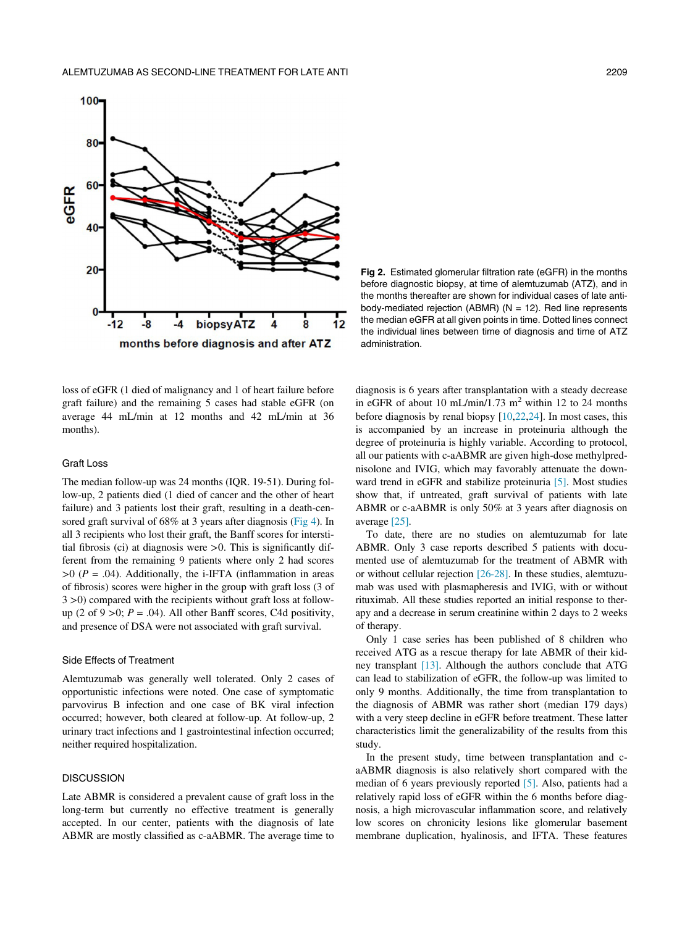<span id="page-3-0"></span>

Fig 2. Estimated glomerular filtration rate (eGFR) in the months before diagnostic biopsy, at time of alemtuzumab (ATZ), and in the months thereafter are shown for individual cases of late antibody-mediated rejection (ABMR) ( $N = 12$ ). Red line represents the median eGFR at all given points in time. Dotted lines connect the individual lines between time of diagnosis and time of ATZ administration.

loss of eGFR (1 died of malignancy and 1 of heart failure before graft failure) and the remaining 5 cases had stable eGFR (on average 44 mL/min at 12 months and 42 mL/min at 36 months).

# Graft Loss

The median follow-up was 24 months (IQR. 19-51). During follow-up, 2 patients died (1 died of cancer and the other of heart failure) and 3 patients lost their graft, resulting in a death-cen-sored graft survival of 68% at 3 years after diagnosis [\(Fig 4](#page-4-1)). In all 3 recipients who lost their graft, the Banff scores for interstitial fibrosis (ci) at diagnosis were >0. This is significantly different from the remaining 9 patients where only 2 had scores  $>0$  (P = .04). Additionally, the i-IFTA (inflammation in areas of fibrosis) scores were higher in the group with graft loss (3 of 3 >0) compared with the recipients without graft loss at followup (2 of 9 > 0;  $P = .04$ ). All other Banff scores, C4d positivity, and presence of DSA were not associated with graft survival.

#### Side Effects of Treatment

Alemtuzumab was generally well tolerated. Only 2 cases of opportunistic infections were noted. One case of symptomatic parvovirus B infection and one case of BK viral infection occurred; however, both cleared at follow-up. At follow-up, 2 urinary tract infections and 1 gastrointestinal infection occurred; neither required hospitalization.

# **DISCUSSION**

Late ABMR is considered a prevalent cause of graft loss in the long-term but currently no effective treatment is generally accepted. In our center, patients with the diagnosis of late ABMR are mostly classified as c-aABMR. The average time to diagnosis is 6 years after transplantation with a steady decrease in eGFR of about 10 mL/min/1.73 m<sup>2</sup> within 12 to 24 months before diagnosis by renal biopsy [\[10](#page-5-18)[,22](#page-5-15),[24\]](#page-5-19). In most cases, this is accompanied by an increase in proteinuria although the degree of proteinuria is highly variable. According to protocol, all our patients with c-aABMR are given high-dose methylprednisolone and IVIG, which may favorably attenuate the downward trend in eGFR and stabilize proteinuria [\[5\]](#page-5-2). Most studies show that, if untreated, graft survival of patients with late ABMR or c-aABMR is only 50% at 3 years after diagnosis on average [\[25\]](#page-5-20).

To date, there are no studies on alemtuzumab for late ABMR. Only 3 case reports described 5 patients with documented use of alemtuzumab for the treatment of ABMR with or without cellular rejection [\[26-28\].](#page-5-21) In these studies, alemtuzumab was used with plasmapheresis and IVIG, with or without rituximab. All these studies reported an initial response to therapy and a decrease in serum creatinine within 2 days to 2 weeks of therapy.

Only 1 case series has been published of 8 children who received ATG as a rescue therapy for late ABMR of their kidney transplant [\[13\].](#page-5-7) Although the authors conclude that ATG can lead to stabilization of eGFR, the follow-up was limited to only 9 months. Additionally, the time from transplantation to the diagnosis of ABMR was rather short (median 179 days) with a very steep decline in eGFR before treatment. These latter characteristics limit the generalizability of the results from this study.

In the present study, time between transplantation and caABMR diagnosis is also relatively short compared with the median of 6 years previously reported [\[5\]](#page-5-2). Also, patients had a relatively rapid loss of eGFR within the 6 months before diagnosis, a high microvascular inflammation score, and relatively low scores on chronicity lesions like glomerular basement membrane duplication, hyalinosis, and IFTA. These features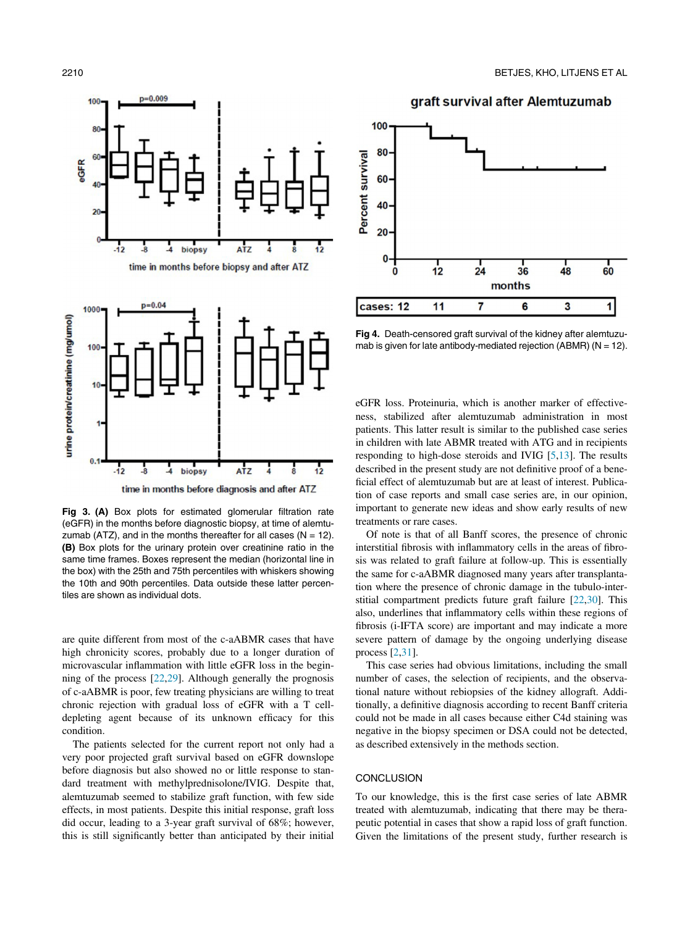<span id="page-4-1"></span><span id="page-4-0"></span>

Fig 3. (A) Box plots for estimated glomerular filtration rate (eGFR) in the months before diagnostic biopsy, at time of alemtuzumab (ATZ), and in the months thereafter for all cases ( $N = 12$ ). (B) Box plots for the urinary protein over creatinine ratio in the same time frames. Boxes represent the median (horizontal line in the box) with the 25th and 75th percentiles with whiskers showing the 10th and 90th percentiles. Data outside these latter percen-

tiles are shown as individual dots.

are quite different from most of the c-aABMR cases that have high chronicity scores, probably due to a longer duration of microvascular inflammation with little eGFR loss in the beginning of the process [[22](#page-5-15),[29\]](#page-5-22). Although generally the prognosis of c-aABMR is poor, few treating physicians are willing to treat chronic rejection with gradual loss of eGFR with a T celldepleting agent because of its unknown efficacy for this condition.

The patients selected for the current report not only had a very poor projected graft survival based on eGFR downslope before diagnosis but also showed no or little response to standard treatment with methylprednisolone/IVIG. Despite that, alemtuzumab seemed to stabilize graft function, with few side effects, in most patients. Despite this initial response, graft loss did occur, leading to a 3-year graft survival of 68%; however, this is still significantly better than anticipated by their initial





Fig 4. Death-censored graft survival of the kidney after alemtuzumab is given for late antibody-mediated rejection (ABMR) ( $N = 12$ ).

eGFR loss. Proteinuria, which is another marker of effectiveness, stabilized after alemtuzumab administration in most patients. This latter result is similar to the published case series in children with late ABMR treated with ATG and in recipients responding to high-dose steroids and IVIG [[5](#page-5-2),[13\]](#page-5-7). The results described in the present study are not definitive proof of a beneficial effect of alemtuzumab but are at least of interest. Publication of case reports and small case series are, in our opinion, important to generate new ideas and show early results of new treatments or rare cases.

Of note is that of all Banff scores, the presence of chronic interstitial fibrosis with inflammatory cells in the areas of fibrosis was related to graft failure at follow-up. This is essentially the same for c-aABMR diagnosed many years after transplantation where the presence of chronic damage in the tubulo-interstitial compartment predicts future graft failure [[22](#page-5-15)[,30](#page-5-23)]. This also, underlines that inflammatory cells within these regions of fibrosis (i-IFTA score) are important and may indicate a more severe pattern of damage by the ongoing underlying disease process [[2](#page-5-1)[,31](#page-5-24)].

This case series had obvious limitations, including the small number of cases, the selection of recipients, and the observational nature without rebiopsies of the kidney allograft. Additionally, a definitive diagnosis according to recent Banff criteria could not be made in all cases because either C4d staining was negative in the biopsy specimen or DSA could not be detected, as described extensively in the methods section.

#### **CONCLUSION**

To our knowledge, this is the first case series of late ABMR treated with alemtuzumab, indicating that there may be therapeutic potential in cases that show a rapid loss of graft function. Given the limitations of the present study, further research is